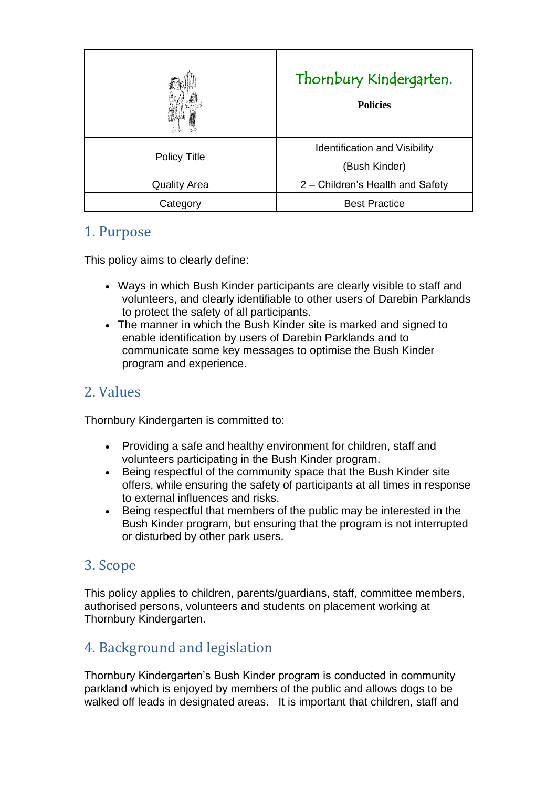|                     | Thornbury Kindergarten.<br><b>Policies</b>            |
|---------------------|-------------------------------------------------------|
| <b>Policy Title</b> | <b>Identification and Visibility</b><br>(Bush Kinder) |
| <b>Quality Area</b> | 2 – Children's Health and Safety                      |
| Category            | <b>Best Practice</b>                                  |

### 1. Purpose

This policy aims to clearly define:

- Ways in which Bush Kinder participants are clearly visible to staff and volunteers, and clearly identifiable to other users of Darebin Parklands to protect the safety of all participants.
- The manner in which the Bush Kinder site is marked and signed to enable identification by users of Darebin Parklands and to communicate some key messages to optimise the Bush Kinder program and experience.

# 2. Values

Thornbury Kindergarten is committed to:

- Providing a safe and healthy environment for children, staff and volunteers participating in the Bush Kinder program.
- Being respectful of the community space that the Bush Kinder site offers, while ensuring the safety of participants at all times in response to external influences and risks.
- Being respectful that members of the public may be interested in the Bush Kinder program, but ensuring that the program is not interrupted or disturbed by other park users.

# 3. Scope

This policy applies to children, parents/guardians, staff, committee members, authorised persons, volunteers and students on placement working at Thornbury Kindergarten.

# 4. Background and legislation

Thornbury Kindergarten's Bush Kinder program is conducted in community parkland which is enjoyed by members of the public and allows dogs to be walked off leads in designated areas. It is important that children, staff and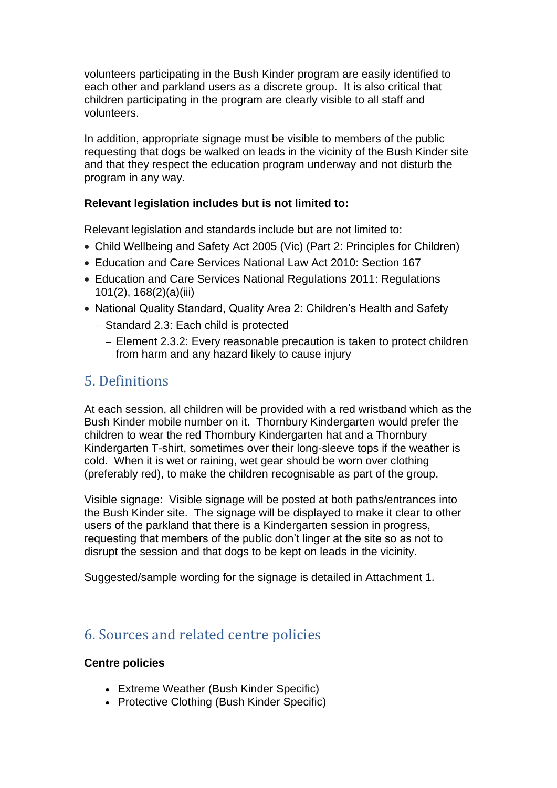volunteers participating in the Bush Kinder program are easily identified to each other and parkland users as a discrete group. It is also critical that children participating in the program are clearly visible to all staff and volunteers.

In addition, appropriate signage must be visible to members of the public requesting that dogs be walked on leads in the vicinity of the Bush Kinder site and that they respect the education program underway and not disturb the program in any way.

#### **Relevant legislation includes but is not limited to:**

Relevant legislation and standards include but are not limited to:

- Child Wellbeing and Safety Act 2005 (Vic) (Part 2: Principles for Children)
- Education and Care Services National Law Act 2010: Section 167
- Education and Care Services National Regulations 2011: Regulations 101(2), 168(2)(a)(iii)
- National Quality Standard, Quality Area 2: Children's Health and Safety
	- − Standard 2.3: Each child is protected
		- − Element 2.3.2: Every reasonable precaution is taken to protect children from harm and any hazard likely to cause injury

#### 5. Definitions

At each session, all children will be provided with a red wristband which as the Bush Kinder mobile number on it. Thornbury Kindergarten would prefer the children to wear the red Thornbury Kindergarten hat and a Thornbury Kindergarten T-shirt, sometimes over their long-sleeve tops if the weather is cold. When it is wet or raining, wet gear should be worn over clothing (preferably red), to make the children recognisable as part of the group.

Visible signage: Visible signage will be posted at both paths/entrances into the Bush Kinder site. The signage will be displayed to make it clear to other users of the parkland that there is a Kindergarten session in progress, requesting that members of the public don't linger at the site so as not to disrupt the session and that dogs to be kept on leads in the vicinity.

Suggested/sample wording for the signage is detailed in Attachment 1.

### 6. Sources and related centre policies

#### **Centre policies**

- Extreme Weather (Bush Kinder Specific)
- Protective Clothing (Bush Kinder Specific)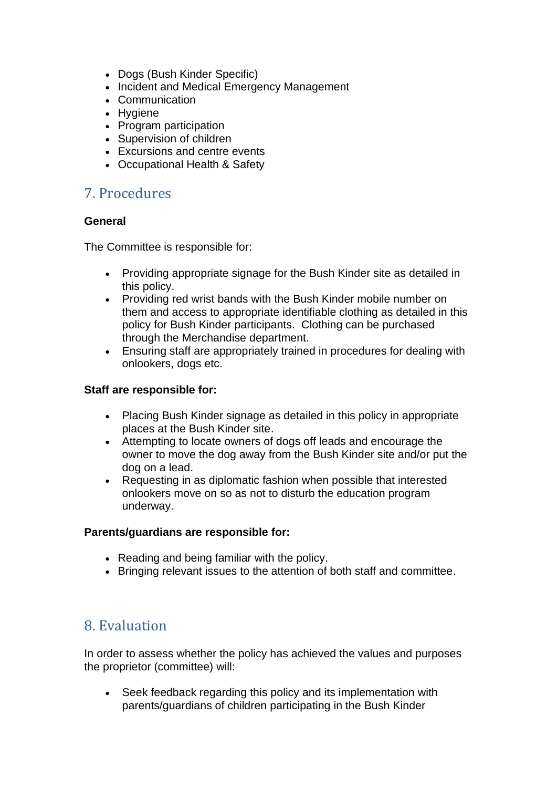- Dogs (Bush Kinder Specific)
- Incident and Medical Emergency Management
- Communication
- Hygiene
- Program participation
- Supervision of children
- Excursions and centre events
- Occupational Health & Safety

### 7. Procedures

#### **General**

The Committee is responsible for:

- Providing appropriate signage for the Bush Kinder site as detailed in this policy.
- Providing red wrist bands with the Bush Kinder mobile number on them and access to appropriate identifiable clothing as detailed in this policy for Bush Kinder participants. Clothing can be purchased through the Merchandise department.
- Ensuring staff are appropriately trained in procedures for dealing with onlookers, dogs etc.

#### **Staff are responsible for:**

- Placing Bush Kinder signage as detailed in this policy in appropriate places at the Bush Kinder site.
- Attempting to locate owners of dogs off leads and encourage the owner to move the dog away from the Bush Kinder site and/or put the dog on a lead.
- Requesting in as diplomatic fashion when possible that interested onlookers move on so as not to disturb the education program underway.

#### **Parents/guardians are responsible for:**

- Reading and being familiar with the policy.
- Bringing relevant issues to the attention of both staff and committee.

### 8. Evaluation

In order to assess whether the policy has achieved the values and purposes the proprietor (committee) will:

• Seek feedback regarding this policy and its implementation with parents/guardians of children participating in the Bush Kinder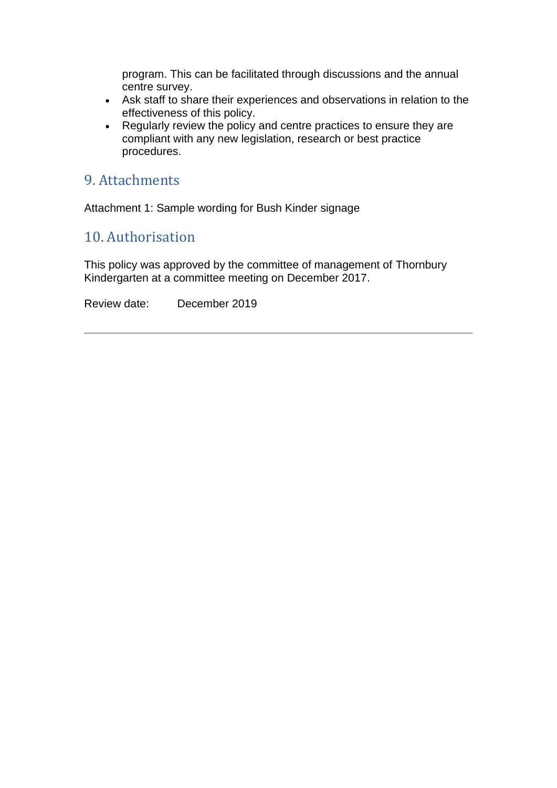program. This can be facilitated through discussions and the annual centre survey.

- Ask staff to share their experiences and observations in relation to the effectiveness of this policy.
- Regularly review the policy and centre practices to ensure they are compliant with any new legislation, research or best practice procedures.

### 9. Attachments

Attachment 1: Sample wording for Bush Kinder signage

# 10. Authorisation

This policy was approved by the committee of management of Thornbury Kindergarten at a committee meeting on December 2017.

Review date: December 2019